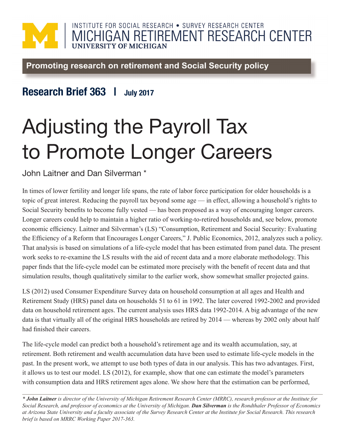## INSTITUTE FOR SOCIAL RESEARCH . SURVEY RESEARCH CENTER MICHIGAN RETIREMENT RESEARCH CENTER

Promoting research on retirement and Social Security policy

## Research Brief 363 | July 2017

## Adjusting the Payroll Tax to Promote Longer Careers

John Laitner and Dan Silverman \*

In times of lower fertility and longer life spans, the rate of labor force participation for older households is a topic of great interest. Reducing the payroll tax beyond some age — in effect, allowing a household's rights to Social Security benefits to become fully vested — has been proposed as a way of encouraging longer careers. Longer careers could help to maintain a higher ratio of working-to-retired households and, see below, promote economic efficiency. Laitner and Silverman's (LS) "Consumption, Retirement and Social Security: Evaluating the Efficiency of a Reform that Encourages Longer Careers," J. Public Economics, 2012, analyzes such a policy. That analysis is based on simulations of a life-cycle model that has been estimated from panel data. The present work seeks to re-examine the LS results with the aid of recent data and a more elaborate methodology. This paper finds that the life-cycle model can be estimated more precisely with the benefit of recent data and that simulation results, though qualitatively similar to the earlier work, show somewhat smaller projected gains.

LS (2012) used Consumer Expenditure Survey data on household consumption at all ages and Health and Retirement Study (HRS) panel data on households 51 to 61 in 1992. The later covered 1992-2002 and provided data on household retirement ages. The current analysis uses HRS data 1992-2014. A big advantage of the new data is that virtually all of the original HRS households are retired by 2014 — whereas by 2002 only about half had finished their careers.

The life-cycle model can predict both a household's retirement age and its wealth accumulation, say, at retirement. Both retirement and wealth accumulation data have been used to estimate life-cycle models in the past. In the present work, we attempt to use both types of data in our analysis. This has two advantages. First, it allows us to test our model. LS (2012), for example, show that one can estimate the model's parameters with consumption data and HRS retirement ages alone. We show here that the estimation can be performed,

*\* John Laitner is director of the University of Michigan Retirement Research Center (MRRC), research professor at the Institute for Social Research, and professor of economics at the University of Michigan. Dan Silverman is the Rondthaler Professor of Economics at Arizona State University and a faculty associate of the Survey Research Center at the Institute for Social Research. This research brief is based on MRRC Working Paper 2017-363.*